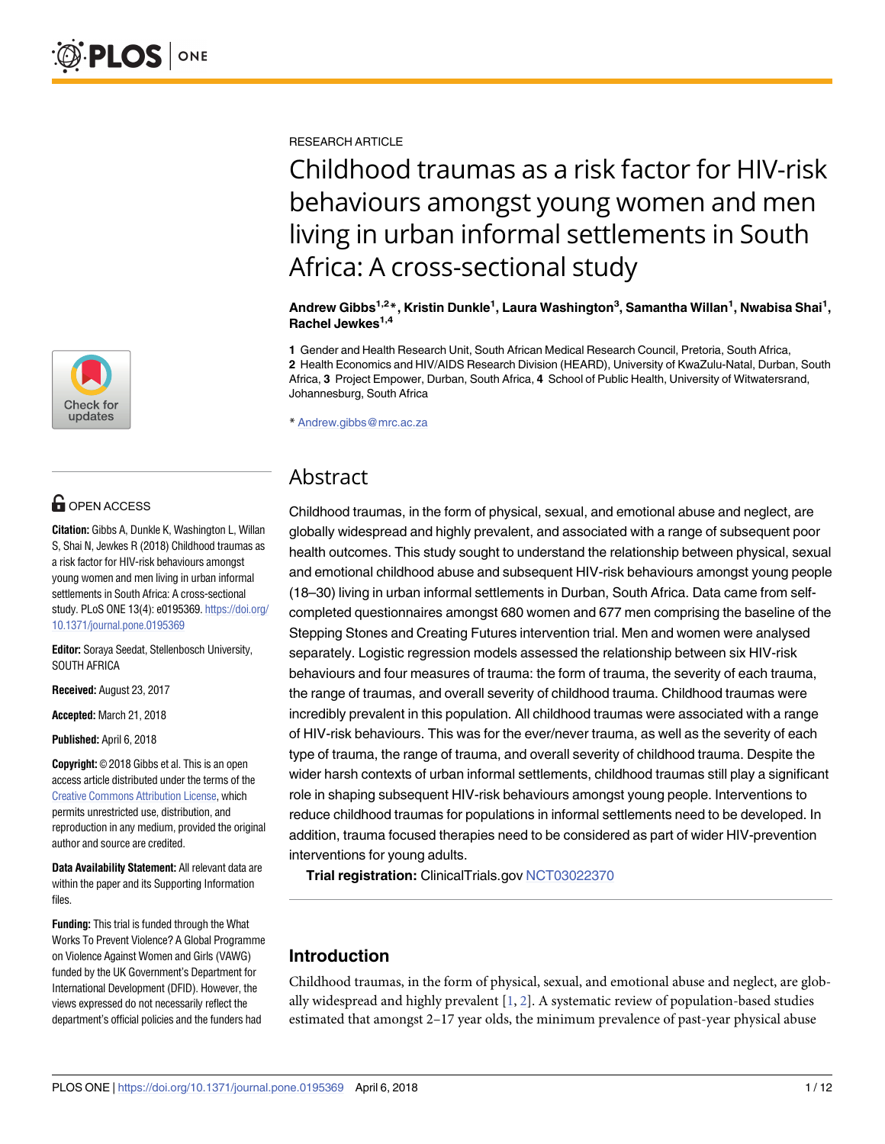

# **OPEN ACCESS**

**Citation:** Gibbs A, Dunkle K, Washington L, Willan S, Shai N, Jewkes R (2018) Childhood traumas as a risk factor for HIV-risk behaviours amongst young women and men living in urban informal settlements in South Africa: A cross-sectional study. PLoS ONE 13(4): e0195369. [https://doi.org/](https://doi.org/10.1371/journal.pone.0195369) [10.1371/journal.pone.0195369](https://doi.org/10.1371/journal.pone.0195369)

**Editor:** Soraya Seedat, Stellenbosch University, SOUTH AFRICA

**Received:** August 23, 2017

**Accepted:** March 21, 2018

**Published:** April 6, 2018

**Copyright:** © 2018 Gibbs et al. This is an open access article distributed under the terms of the Creative Commons [Attribution](http://creativecommons.org/licenses/by/4.0/) License, which permits unrestricted use, distribution, and reproduction in any medium, provided the original author and source are credited.

**Data Availability Statement:** All relevant data are within the paper and its Supporting Information files.

**Funding:** This trial is funded through the What Works To Prevent Violence? A Global Programme on Violence Against Women and Girls (VAWG) funded by the UK Government's Department for International Development (DFID). However, the views expressed do not necessarily reflect the department's official policies and the funders had

<span id="page-0-0"></span>RESEARCH ARTICLE

# Childhood traumas as a risk factor for HIV-risk behaviours amongst young women and men living in urban informal settlements in South Africa: A cross-sectional study

**Andrew Gibbs1,2\*, Kristin Dunkle1 , Laura Washington3 , Samantha Willan1 , Nwabisa Shai1 , Rachel Jewkes1,4**

**1** Gender and Health Research Unit, South African Medical Research Council, Pretoria, South Africa, **2** Health Economics and HIV/AIDS Research Division (HEARD), University of KwaZulu-Natal, Durban, South Africa, **3** Project Empower, Durban, South Africa, **4** School of Public Health, University of Witwatersrand, Johannesburg, South Africa

\* Andrew.gibbs@mrc.ac.za

# Abstract

Childhood traumas, in the form of physical, sexual, and emotional abuse and neglect, are globally widespread and highly prevalent, and associated with a range of subsequent poor health outcomes. This study sought to understand the relationship between physical, sexual and emotional childhood abuse and subsequent HIV-risk behaviours amongst young people (18–30) living in urban informal settlements in Durban, South Africa. Data came from selfcompleted questionnaires amongst 680 women and 677 men comprising the baseline of the Stepping Stones and Creating Futures intervention trial. Men and women were analysed separately. Logistic regression models assessed the relationship between six HIV-risk behaviours and four measures of trauma: the form of trauma, the severity of each trauma, the range of traumas, and overall severity of childhood trauma. Childhood traumas were incredibly prevalent in this population. All childhood traumas were associated with a range of HIV-risk behaviours. This was for the ever/never trauma, as well as the severity of each type of trauma, the range of trauma, and overall severity of childhood trauma. Despite the wider harsh contexts of urban informal settlements, childhood traumas still play a significant role in shaping subsequent HIV-risk behaviours amongst young people. Interventions to reduce childhood traumas for populations in informal settlements need to be developed. In addition, trauma focused therapies need to be considered as part of wider HIV-prevention interventions for young adults.

**Trial registration:** ClinicalTrials.gov [NCT03022370](https://clinicaltrials.gov/ct2/show/NCT03022370)

# **Introduction**

Childhood traumas, in the form of physical, sexual, and emotional abuse and neglect, are globally widespread and highly prevalent [[1,](#page-9-0) [2\]](#page-9-0). A systematic review of population-based studies estimated that amongst 2–17 year olds, the minimum prevalence of past-year physical abuse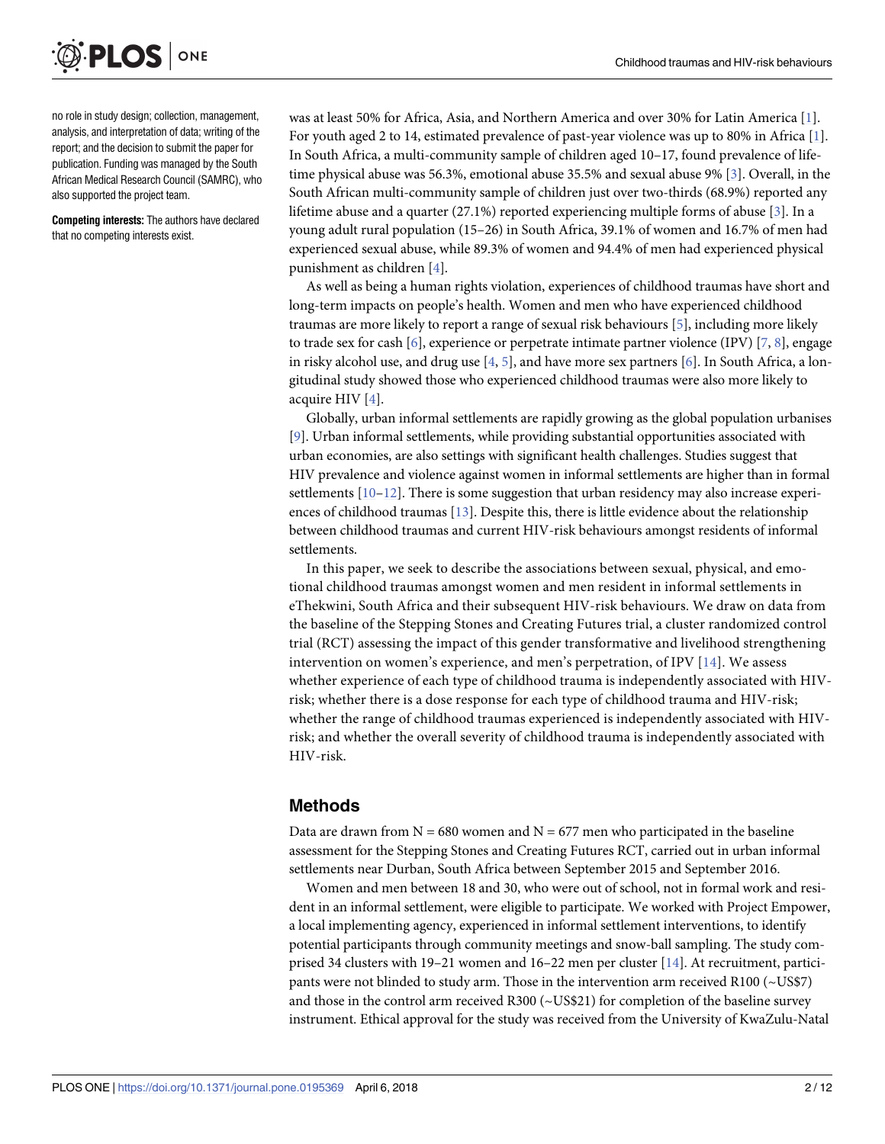<span id="page-1-0"></span>

no role in study design; collection, management, analysis, and interpretation of data; writing of the report; and the decision to submit the paper for publication. Funding was managed by the South African Medical Research Council (SAMRC), who also supported the project team.

**Competing interests:** The authors have declared that no competing interests exist.

was at least 50% for Africa, Asia, and Northern America and over 30% for Latin America [\[1](#page-9-0)]. For youth aged 2 to 14, estimated prevalence of past-year violence was up to 80% in Africa [[1\]](#page-9-0). In South Africa, a multi-community sample of children aged 10–17, found prevalence of lifetime physical abuse was 56.3%, emotional abuse 35.5% and sexual abuse 9% [[3](#page-9-0)]. Overall, in the South African multi-community sample of children just over two-thirds (68.9%) reported any lifetime abuse and a quarter  $(27.1%)$  reported experiencing multiple forms of abuse [[3](#page-9-0)]. In a young adult rural population (15–26) in South Africa, 39.1% of women and 16.7% of men had experienced sexual abuse, while 89.3% of women and 94.4% of men had experienced physical punishment as children [[4](#page-9-0)].

As well as being a human rights violation, experiences of childhood traumas have short and long-term impacts on people's health. Women and men who have experienced childhood traumas are more likely to report a range of sexual risk behaviours [\[5\]](#page-9-0), including more likely to trade sex for cash [\[6](#page-9-0)], experience or perpetrate intimate partner violence (IPV) [[7](#page-9-0), [8\]](#page-9-0), engage in risky alcohol use, and drug use [[4,](#page-9-0) [5\]](#page-9-0), and have more sex partners [[6](#page-9-0)]. In South Africa, a longitudinal study showed those who experienced childhood traumas were also more likely to acquire HIV [\[4](#page-9-0)].

Globally, urban informal settlements are rapidly growing as the global population urbanises [\[9](#page-10-0)]. Urban informal settlements, while providing substantial opportunities associated with urban economies, are also settings with significant health challenges. Studies suggest that HIV prevalence and violence against women in informal settlements are higher than in formal settlements  $[10-12]$ . There is some suggestion that urban residency may also increase experiences of childhood traumas [\[13\]](#page-10-0). Despite this, there is little evidence about the relationship between childhood traumas and current HIV-risk behaviours amongst residents of informal settlements.

In this paper, we seek to describe the associations between sexual, physical, and emotional childhood traumas amongst women and men resident in informal settlements in eThekwini, South Africa and their subsequent HIV-risk behaviours. We draw on data from the baseline of the Stepping Stones and Creating Futures trial, a cluster randomized control trial (RCT) assessing the impact of this gender transformative and livelihood strengthening intervention on women's experience, and men's perpetration, of IPV [\[14](#page-10-0)]. We assess whether experience of each type of childhood trauma is independently associated with HIVrisk; whether there is a dose response for each type of childhood trauma and HIV-risk; whether the range of childhood traumas experienced is independently associated with HIVrisk; and whether the overall severity of childhood trauma is independently associated with HIV-risk.

#### **Methods**

Data are drawn from  $N = 680$  women and  $N = 677$  men who participated in the baseline assessment for the Stepping Stones and Creating Futures RCT, carried out in urban informal settlements near Durban, South Africa between September 2015 and September 2016.

Women and men between 18 and 30, who were out of school, not in formal work and resident in an informal settlement, were eligible to participate. We worked with Project Empower, a local implementing agency, experienced in informal settlement interventions, to identify potential participants through community meetings and snow-ball sampling. The study comprised 34 clusters with 19–21 women and 16–22 men per cluster [[14](#page-10-0)]. At recruitment, participants were not blinded to study arm. Those in the intervention arm received R100 (~US\$7) and those in the control arm received R300 (~US\$21) for completion of the baseline survey instrument. Ethical approval for the study was received from the University of KwaZulu-Natal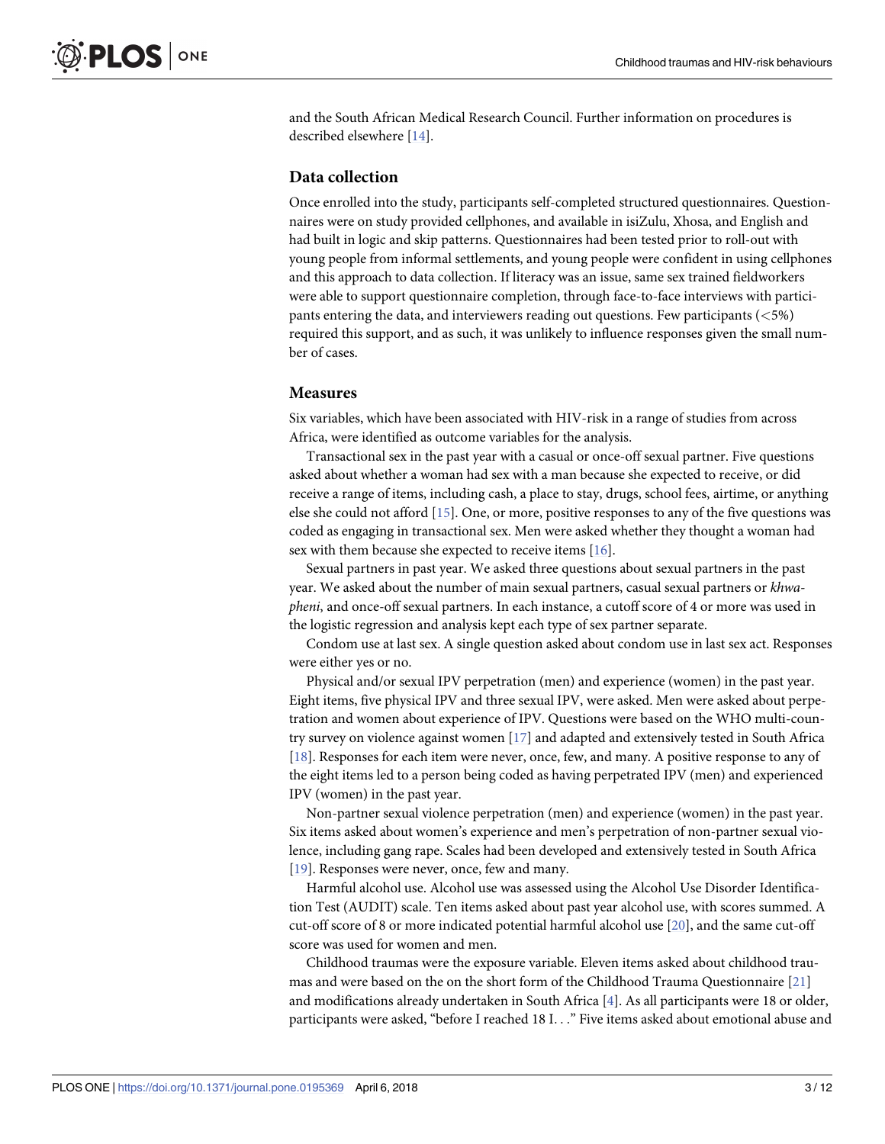<span id="page-2-0"></span>and the South African Medical Research Council. Further information on procedures is described elsewhere [\[14](#page-10-0)].

#### **Data collection**

Once enrolled into the study, participants self-completed structured questionnaires. Questionnaires were on study provided cellphones, and available in isiZulu, Xhosa, and English and had built in logic and skip patterns. Questionnaires had been tested prior to roll-out with young people from informal settlements, and young people were confident in using cellphones and this approach to data collection. If literacy was an issue, same sex trained fieldworkers were able to support questionnaire completion, through face-to-face interviews with participants entering the data, and interviewers reading out questions. Few participants (*<*5%) required this support, and as such, it was unlikely to influence responses given the small number of cases.

#### **Measures**

Six variables, which have been associated with HIV-risk in a range of studies from across Africa, were identified as outcome variables for the analysis.

Transactional sex in the past year with a casual or once-off sexual partner. Five questions asked about whether a woman had sex with a man because she expected to receive, or did receive a range of items, including cash, a place to stay, drugs, school fees, airtime, or anything else she could not afford [\[15\]](#page-10-0). One, or more, positive responses to any of the five questions was coded as engaging in transactional sex. Men were asked whether they thought a woman had sex with them because she expected to receive items [[16](#page-10-0)].

Sexual partners in past year. We asked three questions about sexual partners in the past year. We asked about the number of main sexual partners, casual sexual partners or *khwapheni*, and once-off sexual partners. In each instance, a cutoff score of 4 or more was used in the logistic regression and analysis kept each type of sex partner separate.

Condom use at last sex. A single question asked about condom use in last sex act. Responses were either yes or no.

Physical and/or sexual IPV perpetration (men) and experience (women) in the past year. Eight items, five physical IPV and three sexual IPV, were asked. Men were asked about perpetration and women about experience of IPV. Questions were based on the WHO multi-country survey on violence against women [\[17\]](#page-10-0) and adapted and extensively tested in South Africa [\[18\]](#page-10-0). Responses for each item were never, once, few, and many. A positive response to any of the eight items led to a person being coded as having perpetrated IPV (men) and experienced IPV (women) in the past year.

Non-partner sexual violence perpetration (men) and experience (women) in the past year. Six items asked about women's experience and men's perpetration of non-partner sexual violence, including gang rape. Scales had been developed and extensively tested in South Africa [\[19\]](#page-10-0). Responses were never, once, few and many.

Harmful alcohol use. Alcohol use was assessed using the Alcohol Use Disorder Identification Test (AUDIT) scale. Ten items asked about past year alcohol use, with scores summed. A cut-off score of 8 or more indicated potential harmful alcohol use [[20](#page-10-0)], and the same cut-off score was used for women and men.

Childhood traumas were the exposure variable. Eleven items asked about childhood traumas and were based on the on the short form of the Childhood Trauma Questionnaire [[21\]](#page-10-0) and modifications already undertaken in South Africa [\[4\]](#page-9-0). As all participants were 18 or older, participants were asked, "before I reached 18 I. . ." Five items asked about emotional abuse and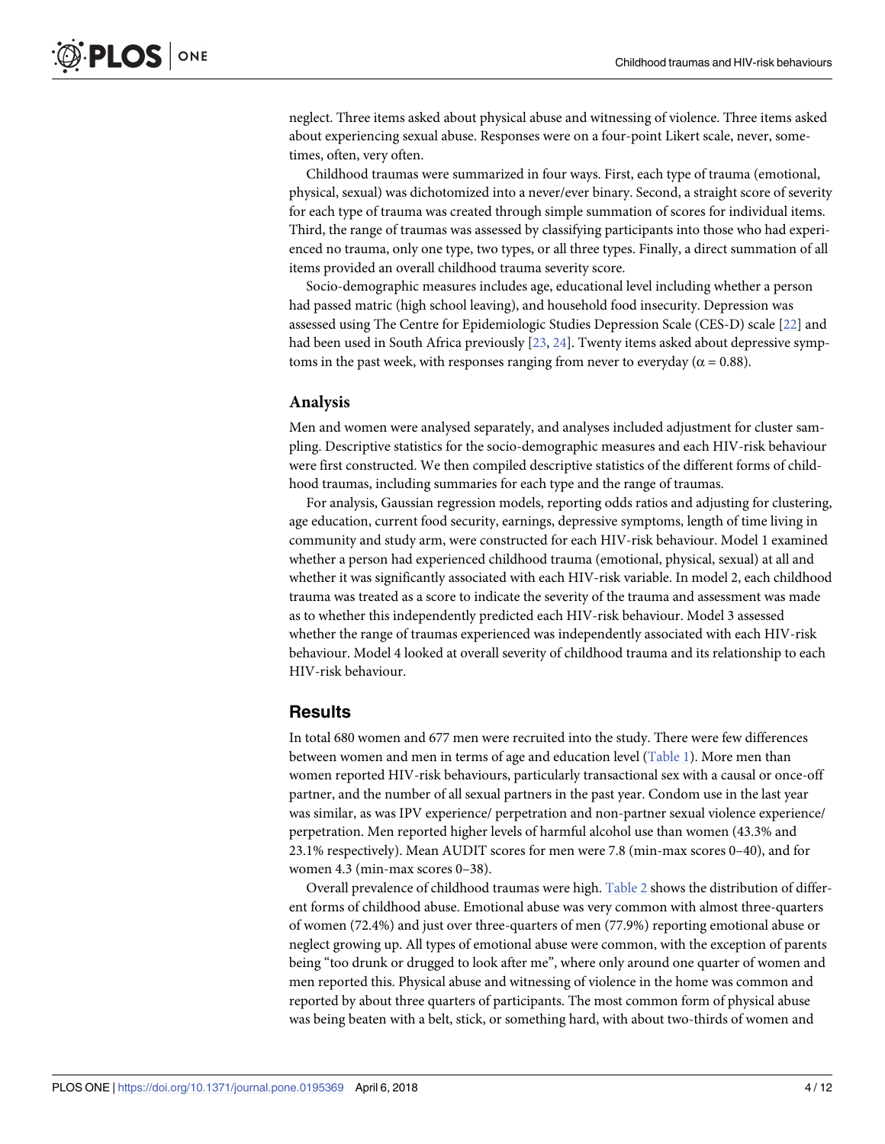<span id="page-3-0"></span>neglect. Three items asked about physical abuse and witnessing of violence. Three items asked about experiencing sexual abuse. Responses were on a four-point Likert scale, never, sometimes, often, very often.

Childhood traumas were summarized in four ways. First, each type of trauma (emotional, physical, sexual) was dichotomized into a never/ever binary. Second, a straight score of severity for each type of trauma was created through simple summation of scores for individual items. Third, the range of traumas was assessed by classifying participants into those who had experienced no trauma, only one type, two types, or all three types. Finally, a direct summation of all items provided an overall childhood trauma severity score.

Socio-demographic measures includes age, educational level including whether a person had passed matric (high school leaving), and household food insecurity. Depression was assessed using The Centre for Epidemiologic Studies Depression Scale (CES-D) scale [\[22\]](#page-10-0) and had been used in South Africa previously [[23](#page-10-0), [24](#page-10-0)]. Twenty items asked about depressive symptoms in the past week, with responses ranging from never to everyday ( $\alpha$  = 0.88).

#### **Analysis**

Men and women were analysed separately, and analyses included adjustment for cluster sampling. Descriptive statistics for the socio-demographic measures and each HIV-risk behaviour were first constructed. We then compiled descriptive statistics of the different forms of childhood traumas, including summaries for each type and the range of traumas.

For analysis, Gaussian regression models, reporting odds ratios and adjusting for clustering, age education, current food security, earnings, depressive symptoms, length of time living in community and study arm, were constructed for each HIV-risk behaviour. Model 1 examined whether a person had experienced childhood trauma (emotional, physical, sexual) at all and whether it was significantly associated with each HIV-risk variable. In model 2, each childhood trauma was treated as a score to indicate the severity of the trauma and assessment was made as to whether this independently predicted each HIV-risk behaviour. Model 3 assessed whether the range of traumas experienced was independently associated with each HIV-risk behaviour. Model 4 looked at overall severity of childhood trauma and its relationship to each HIV-risk behaviour.

#### **Results**

In total 680 women and 677 men were recruited into the study. There were few differences between women and men in terms of age and education level [\(Table](#page-4-0) 1). More men than women reported HIV-risk behaviours, particularly transactional sex with a causal or once-off partner, and the number of all sexual partners in the past year. Condom use in the last year was similar, as was IPV experience/ perpetration and non-partner sexual violence experience/ perpetration. Men reported higher levels of harmful alcohol use than women (43.3% and 23.1% respectively). Mean AUDIT scores for men were 7.8 (min-max scores 0–40), and for women 4.3 (min-max scores 0–38).

Overall prevalence of childhood traumas were high. [Table](#page-5-0) 2 shows the distribution of different forms of childhood abuse. Emotional abuse was very common with almost three-quarters of women (72.4%) and just over three-quarters of men (77.9%) reporting emotional abuse or neglect growing up. All types of emotional abuse were common, with the exception of parents being "too drunk or drugged to look after me", where only around one quarter of women and men reported this. Physical abuse and witnessing of violence in the home was common and reported by about three quarters of participants. The most common form of physical abuse was being beaten with a belt, stick, or something hard, with about two-thirds of women and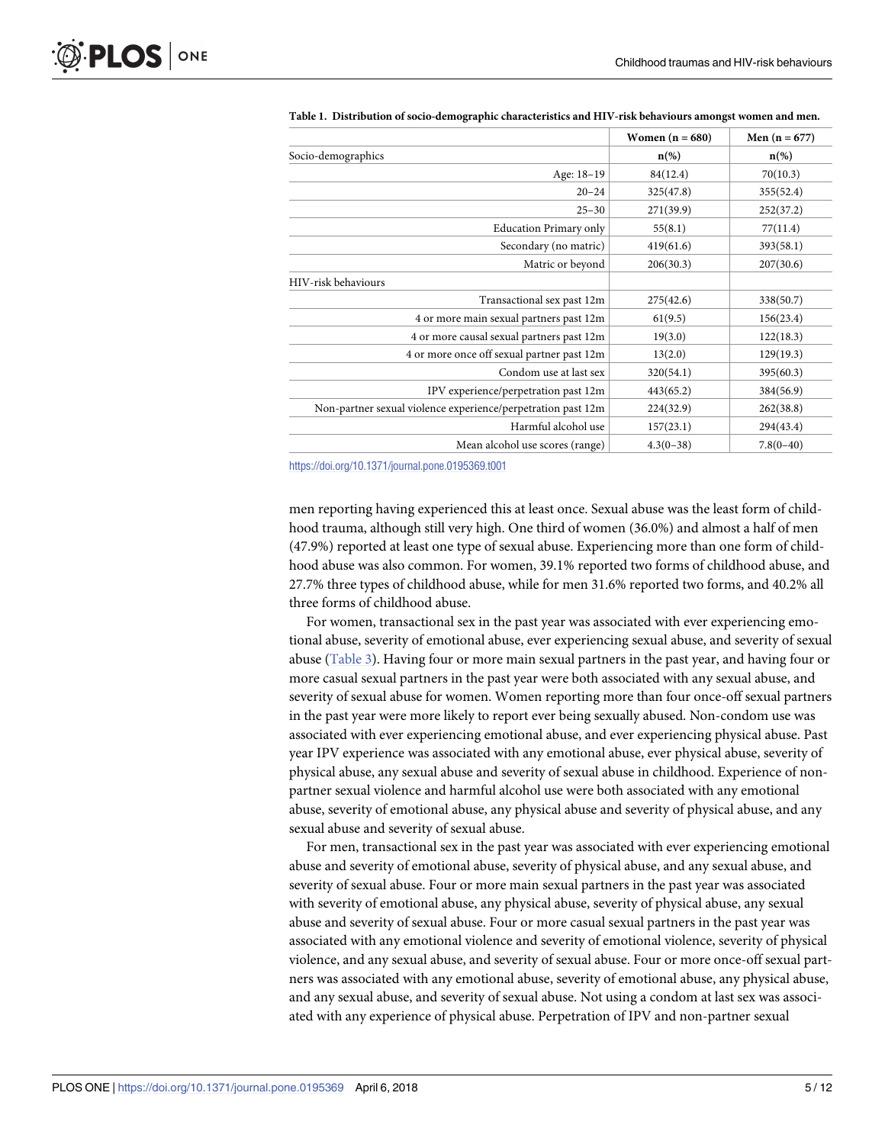|                                                              | Women $(n = 680)$  | Men $(n = 677)$    |  |
|--------------------------------------------------------------|--------------------|--------------------|--|
| Socio-demographics                                           | $n\left(\%\right)$ | $n$ <sup>(%)</sup> |  |
| Age: 18-19                                                   | 84(12.4)           | 70(10.3)           |  |
| $20 - 24$                                                    | 325(47.8)          | 355(52.4)          |  |
| $25 - 30$                                                    | 271(39.9)          | 252(37.2)          |  |
| <b>Education Primary only</b>                                | 55(8.1)            | 77(11.4)           |  |
| Secondary (no matric)                                        | 419(61.6)          | 393(58.1)          |  |
| Matric or beyond                                             | 206(30.3)          | 207(30.6)          |  |
| HIV-risk behaviours                                          |                    |                    |  |
| Transactional sex past 12m                                   | 275(42.6)          | 338(50.7)          |  |
| 4 or more main sexual partners past 12m                      | 61(9.5)            | 156(23.4)          |  |
| 4 or more causal sexual partners past 12m                    | 19(3.0)            | 122(18.3)          |  |
| 4 or more once off sexual partner past 12m                   | 13(2.0)            | 129(19.3)          |  |
| Condom use at last sex                                       | 320(54.1)          | 395(60.3)          |  |
| IPV experience/perpetration past 12m                         | 443(65.2)          | 384(56.9)          |  |
| Non-partner sexual violence experience/perpetration past 12m | 224(32.9)          | 262(38.8)          |  |
| Harmful alcohol use                                          | 157(23.1)          | 294(43.4)          |  |
| Mean alcohol use scores (range)                              | $4.3(0-38)$        | $7.8(0-40)$        |  |

<span id="page-4-0"></span>**[Table](#page-3-0) 1. Distribution of socio-demographic characteristics and HIV-risk behaviours amongst women and men.**

<https://doi.org/10.1371/journal.pone.0195369.t001>

men reporting having experienced this at least once. Sexual abuse was the least form of childhood trauma, although still very high. One third of women (36.0%) and almost a half of men (47.9%) reported at least one type of sexual abuse. Experiencing more than one form of childhood abuse was also common. For women, 39.1% reported two forms of childhood abuse, and 27.7% three types of childhood abuse, while for men 31.6% reported two forms, and 40.2% all three forms of childhood abuse.

For women, transactional sex in the past year was associated with ever experiencing emotional abuse, severity of emotional abuse, ever experiencing sexual abuse, and severity of sexual abuse [\(Table](#page-6-0) 3). Having four or more main sexual partners in the past year, and having four or more casual sexual partners in the past year were both associated with any sexual abuse, and severity of sexual abuse for women. Women reporting more than four once-off sexual partners in the past year were more likely to report ever being sexually abused. Non-condom use was associated with ever experiencing emotional abuse, and ever experiencing physical abuse. Past year IPV experience was associated with any emotional abuse, ever physical abuse, severity of physical abuse, any sexual abuse and severity of sexual abuse in childhood. Experience of nonpartner sexual violence and harmful alcohol use were both associated with any emotional abuse, severity of emotional abuse, any physical abuse and severity of physical abuse, and any sexual abuse and severity of sexual abuse.

For men, transactional sex in the past year was associated with ever experiencing emotional abuse and severity of emotional abuse, severity of physical abuse, and any sexual abuse, and severity of sexual abuse. Four or more main sexual partners in the past year was associated with severity of emotional abuse, any physical abuse, severity of physical abuse, any sexual abuse and severity of sexual abuse. Four or more casual sexual partners in the past year was associated with any emotional violence and severity of emotional violence, severity of physical violence, and any sexual abuse, and severity of sexual abuse. Four or more once-off sexual partners was associated with any emotional abuse, severity of emotional abuse, any physical abuse, and any sexual abuse, and severity of sexual abuse. Not using a condom at last sex was associated with any experience of physical abuse. Perpetration of IPV and non-partner sexual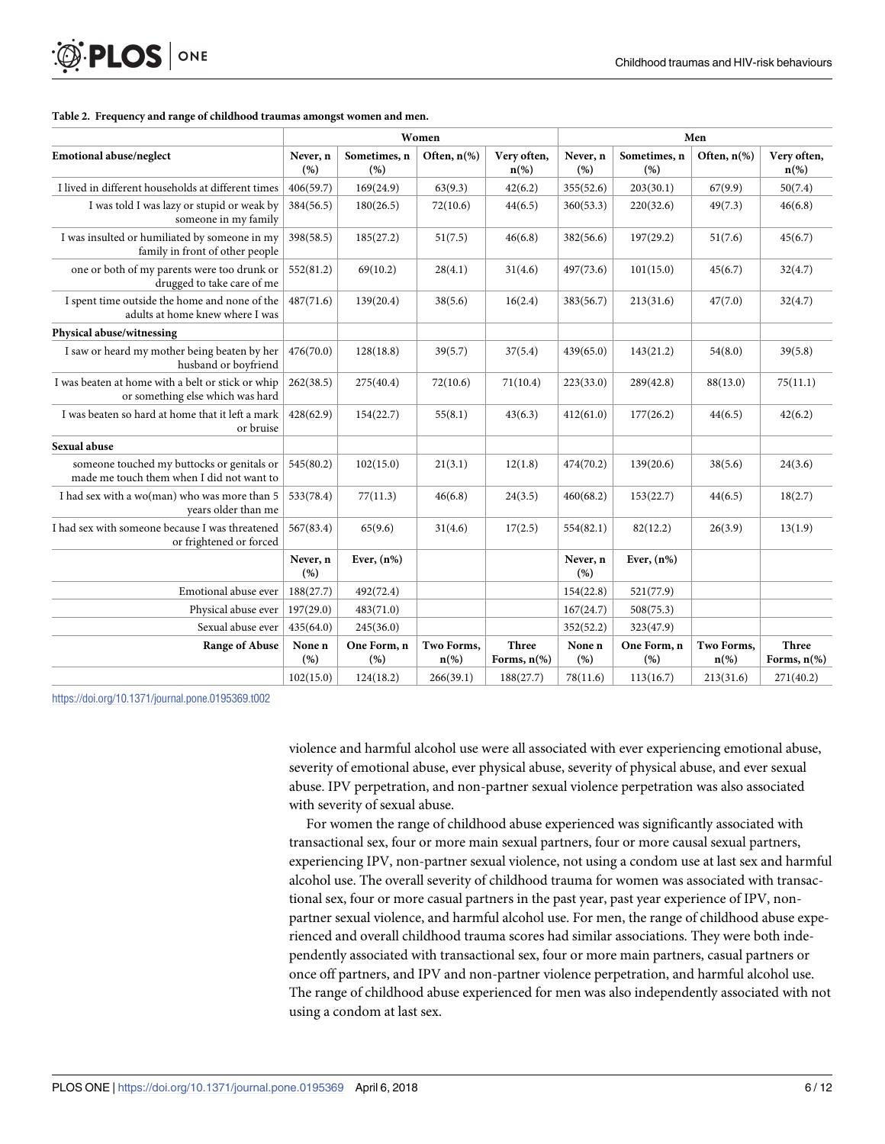#### **[Table](#page-3-0) 2. Frequency and range of childhood traumas amongst women and men.**

<span id="page-5-0"></span>PLOS ONE

|                                                                                         | Women           |                      |                       |                                   | Men             |                      |                                  |                                   |  |
|-----------------------------------------------------------------------------------------|-----------------|----------------------|-----------------------|-----------------------------------|-----------------|----------------------|----------------------------------|-----------------------------------|--|
| <b>Emotional abuse/neglect</b>                                                          | Never, n<br>(%) | Sometimes, n<br>(% ) | Often, $n\frac{6}{6}$ | Very often,<br>$n$ <sup>(%)</sup> | Never, n<br>(%) | Sometimes, n<br>(% ) | Often, $n$ (%)                   | Very often,<br>$n\left(\%\right)$ |  |
| I lived in different households at different times                                      | 406(59.7)       | 169(24.9)            | 63(9.3)               | 42(6.2)                           | 355(52.6)       | 203(30.1)            | 67(9.9)                          | 50(7.4)                           |  |
| I was told I was lazy or stupid or weak by<br>someone in my family                      | 384(56.5)       | 180(26.5)            | 72(10.6)              | 44(6.5)                           | 360(53.3)       | 220(32.6)            | 49(7.3)                          | 46(6.8)                           |  |
| I was insulted or humiliated by someone in my<br>family in front of other people        | 398(58.5)       | 185(27.2)            | 51(7.5)               | 46(6.8)                           | 382(56.6)       | 197(29.2)            | 51(7.6)                          | 45(6.7)                           |  |
| one or both of my parents were too drunk or<br>drugged to take care of me               | 552(81.2)       | 69(10.2)             | 28(4.1)               | 31(4.6)                           | 497(73.6)       | 101(15.0)            | 45(6.7)                          | 32(4.7)                           |  |
| I spent time outside the home and none of the<br>adults at home knew where I was        | 487(71.6)       | 139(20.4)            | 38(5.6)               | 16(2.4)                           | 383(56.7)       | 213(31.6)            | 47(7.0)                          | 32(4.7)                           |  |
| Physical abuse/witnessing                                                               |                 |                      |                       |                                   |                 |                      |                                  |                                   |  |
| I saw or heard my mother being beaten by her<br>husband or boyfriend                    | 476(70.0)       | 128(18.8)            | 39(5.7)               | 37(5.4)                           | 439(65.0)       | 143(21.2)            | 54(8.0)                          | 39(5.8)                           |  |
| I was beaten at home with a belt or stick or whip<br>or something else which was hard   | 262(38.5)       | 275(40.4)            | 72(10.6)              | 71(10.4)                          | 223(33.0)       | 289(42.8)            | 88(13.0)                         | 75(11.1)                          |  |
| I was beaten so hard at home that it left a mark<br>or bruise                           | 428(62.9)       | 154(22.7)            | 55(8.1)               | 43(6.3)                           | 412(61.0)       | 177(26.2)            | 44(6.5)                          | 42(6.2)                           |  |
| Sexual abuse                                                                            |                 |                      |                       |                                   |                 |                      |                                  |                                   |  |
| someone touched my buttocks or genitals or<br>made me touch them when I did not want to | 545(80.2)       | 102(15.0)            | 21(3.1)               | 12(1.8)                           | 474(70.2)       | 139(20.6)            | 38(5.6)                          | 24(3.6)                           |  |
| I had sex with a wo(man) who was more than 5<br>years older than me                     | 533(78.4)       | 77(11.3)             | 46(6.8)               | 24(3.5)                           | 460(68.2)       | 153(22.7)            | 44(6.5)                          | 18(2.7)                           |  |
| I had sex with someone because I was threatened<br>or frightened or forced              | 567(83.4)       | 65(9.6)              | 31(4.6)               | 17(2.5)                           | 554(82.1)       | 82(12.2)             | 26(3.9)                          | 13(1.9)                           |  |
|                                                                                         | Never, n<br>(%) | Ever, $(n\%)$        |                       |                                   | Never, n<br>(%) | Ever, $(n\%)$        |                                  |                                   |  |
| Emotional abuse ever                                                                    | 188(27.7)       | 492(72.4)            |                       |                                   | 154(22.8)       | 521(77.9)            |                                  |                                   |  |
| Physical abuse ever                                                                     | 197(29.0)       | 483(71.0)            |                       |                                   | 167(24.7)       | 508(75.3)            |                                  |                                   |  |
| Sexual abuse ever                                                                       | 435(64.0)       | 245(36.0)            |                       |                                   | 352(52.2)       | 323(47.9)            |                                  |                                   |  |
| <b>Range of Abuse</b>                                                                   | None n<br>(%)   | One Form, n<br>(% )  | Two Forms,<br>$n$ (%) | Three<br>Forms, $n$ (%)           | None n<br>(%)   | One Form, n<br>(% )  | Two Forms,<br>$n$ <sup>(%)</sup> | Three<br>Forms, $n$ (%)           |  |
|                                                                                         | 102(15.0)       | 124(18.2)            | 266(39.1)             | 188(27.7)                         | 78(11.6)        | 113(16.7)            | 213(31.6)                        | 271(40.2)                         |  |

<https://doi.org/10.1371/journal.pone.0195369.t002>

violence and harmful alcohol use were all associated with ever experiencing emotional abuse, severity of emotional abuse, ever physical abuse, severity of physical abuse, and ever sexual abuse. IPV perpetration, and non-partner sexual violence perpetration was also associated with severity of sexual abuse.

For women the range of childhood abuse experienced was significantly associated with transactional sex, four or more main sexual partners, four or more causal sexual partners, experiencing IPV, non-partner sexual violence, not using a condom use at last sex and harmful alcohol use. The overall severity of childhood trauma for women was associated with transactional sex, four or more casual partners in the past year, past year experience of IPV, nonpartner sexual violence, and harmful alcohol use. For men, the range of childhood abuse experienced and overall childhood trauma scores had similar associations. They were both independently associated with transactional sex, four or more main partners, casual partners or once off partners, and IPV and non-partner violence perpetration, and harmful alcohol use. The range of childhood abuse experienced for men was also independently associated with not using a condom at last sex.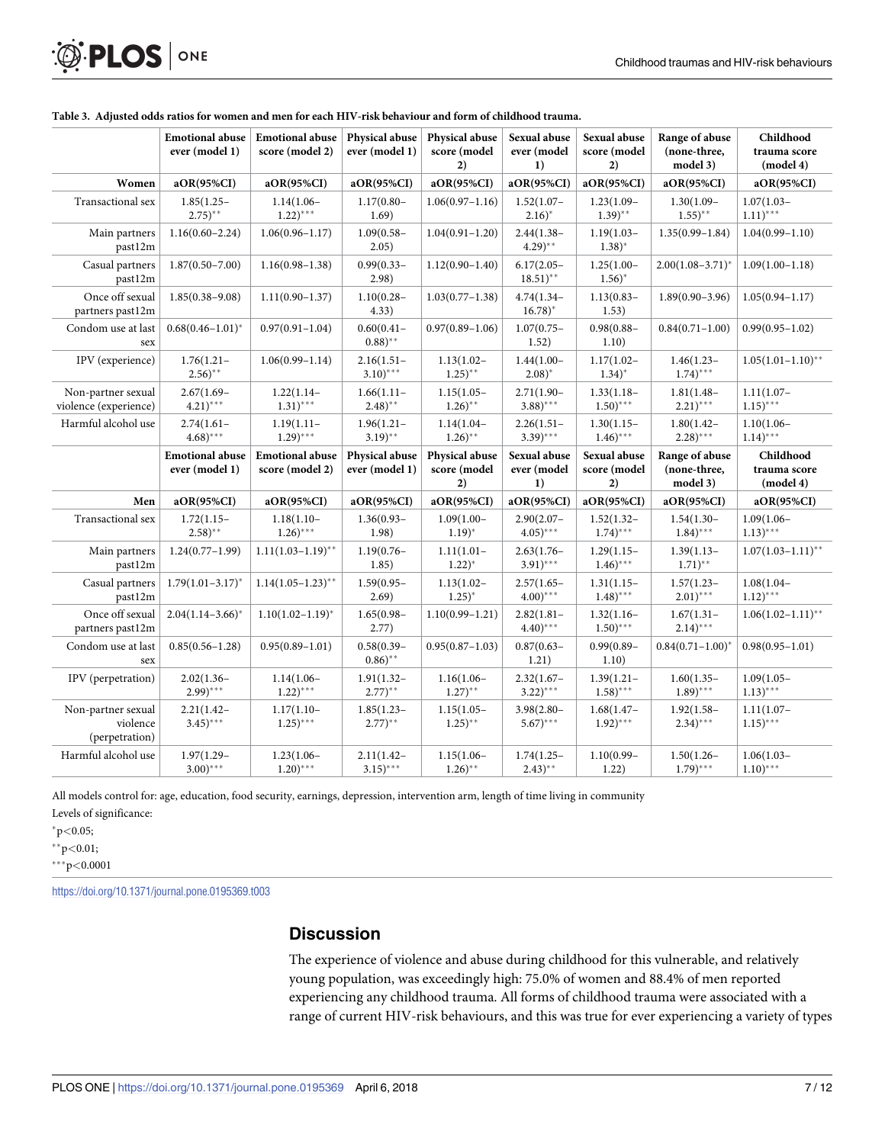|                                                  | <b>Emotional abuse</b><br>ever (model 1) | <b>Emotional abuse</b><br>score (model 2) | Physical abuse<br>ever (model 1)      | Physical abuse<br>score (model<br>2)  | Sexual abuse<br>ever (model<br>1)      | Sexual abuse<br>score (model<br>2)     | Range of abuse<br>(none-three,<br>model 3) | Childhood<br>trauma score<br>(mod 4)   |
|--------------------------------------------------|------------------------------------------|-------------------------------------------|---------------------------------------|---------------------------------------|----------------------------------------|----------------------------------------|--------------------------------------------|----------------------------------------|
| Women                                            | $aOR(95\%CI)$                            | aOR(95%CI)                                | aOR(95%CI)                            | aOR(95%CI)                            | $aOR(95\%CI)$                          | $aOR(95\%CI)$                          | $aOR(95\%CI)$                              | $aOR(95\%CI)$                          |
| Transactional sex                                | $1.85(1.25 -$<br>$2.75$ <sup>**</sup>    | $1.14(1.06 -$<br>$1.22$ )***              | $1.17(0.80 -$<br>1.69)                | $1.06(0.97 - 1.16)$                   | $1.52(1.07 -$<br>$2.16$ <sup>*</sup>   | $1.23(1.09 -$<br>$1.39$ <sup>**</sup>  | $1.30(1.09 -$<br>$1.55$ <sup>**</sup>      | $1.07(1.03 -$<br>$1.11$ <sup>***</sup> |
| Main partners<br>past12m                         | $1.16(0.60 - 2.24)$                      | $1.06(0.96 - 1.17)$                       | $1.09(0.58 -$<br>2.05)                | $1.04(0.91 - 1.20)$                   | $2.44(1.38 -$<br>$4.29$ <sup>**</sup>  | $1.19(1.03 -$<br>$(1.38)^*$            | $1.35(0.99 - 1.84)$                        | $1.04(0.99 - 1.10)$                    |
| Casual partners<br>past12m                       | $1.87(0.50 - 7.00)$                      | $1.16(0.98 - 1.38)$                       | $0.99(0.33 -$<br>2.98)                | $1.12(0.90 - 1.40)$                   | $6.17(2.05 -$<br>$18.51$ <sup>**</sup> | $1.25(1.00 -$<br>$1.56$ <sup>*</sup>   | $2.00(1.08 - 3.71)^*$                      | $1.09(1.00-1.18)$                      |
| Once off sexual<br>partners past12m              | $1.85(0.38 - 9.08)$                      | $1.11(0.90 - 1.37)$                       | $1.10(0.28 -$<br>4.33)                | $1.03(0.77 - 1.38)$                   | $4.74(1.34 -$<br>$16.78$ <sup>*</sup>  | $1.13(0.83 -$<br>1.53)                 | $1.89(0.90 - 3.96)$                        | $1.05(0.94 - 1.17)$                    |
| Condom use at last<br>sex                        | $0.68(0.46 - 1.01)^*$                    | $0.97(0.91 - 1.04)$                       | $0.60(0.41 -$<br>$(0.88)$ **          | $0.97(0.89 - 1.06)$                   | $1.07(0.75 -$<br>1.52)                 | $0.98(0.88 -$<br>1.10)                 | $0.84(0.71 - 1.00)$                        | $0.99(0.95 - 1.02)$                    |
| IPV (experience)                                 | $1.76(1.21 -$<br>$2.56$ <sup>**</sup>    | $1.06(0.99 - 1.14)$                       | $2.16(1.51 -$<br>$(3.10)$ ***         | $1.13(1.02 -$<br>$1.25$ <sup>**</sup> | $1.44(1.00 -$<br>$2.08$ <sup>*</sup>   | $1.17(1.02 -$<br>$1.34)$ *             | $1.46(1.23 -$<br>$1.74$ <sup>***</sup>     | $1.05(1.01-1.10)$ **                   |
| Non-partner sexual<br>violence (experience)      | $2.67(1.69 -$<br>$(4.21)$ ***            | $1.22(1.14-$<br>$(1.31)$ ***              | $1.66(1.11 -$<br>$(2.48)$ **          | $1.15(1.05 -$<br>$1.26$ <sup>**</sup> | $2.71(1.90 -$<br>$(3.88)$ ***          | $1.33(1.18-$<br>$(1.50)$ ***           | $1.81(1.48 -$<br>$(2.21)$ ***              | $1.11(1.07 -$<br>$1.15)$ ***           |
| Harmful alcohol use                              | $2.74(1.61 -$<br>$(4.68)$ ***            | $1.19(1.11 -$<br>$1.29$ <sup>***</sup>    | $1.96(1.21 -$<br>$(3.19)$ **          | $1.14(1.04 -$<br>$1.26$ <sup>**</sup> | $2.26(1.51 -$<br>$(3.39)$ ***          | $1.30(1.15-$<br>$1.46$ <sup>***</sup>  | $1.80(1.42 -$<br>$(2.28)$ ***              | $1.10(1.06 -$<br>$(1.14)$ ***          |
|                                                  |                                          |                                           |                                       |                                       |                                        |                                        |                                            |                                        |
|                                                  | <b>Emotional abuse</b><br>ever (model 1) | <b>Emotional abuse</b><br>score (model 2) | Physical abuse<br>ever (model 1)      | Physical abuse<br>score (model<br>2)  | Sexual abuse<br>ever (model<br>1)      | Sexual abuse<br>score (model<br>2)     | Range of abuse<br>(none-three,<br>model 3) | Childhood<br>trauma score<br>(mod 4)   |
| Men                                              | $aOR(95\%CI)$                            | aOR(95%CI)                                | $aOR(95\%CI)$                         | aOR(95%CI)                            | aOR(95%CI)                             | aOR(95%CI)                             | $aOR(95\%CI)$                              | aOR(95%CI)                             |
| Transactional sex                                | $1.72(1.15 -$<br>$(2.58)$ **             | $1.18(1.10 -$<br>$1.26$ <sup>***</sup>    | $1.36(0.93 -$<br>1.98)                | $1.09(1.00 -$<br>$1.19$ <sup>*</sup>  | $2.90(2.07 -$<br>$(4.05)$ ***          | $1.52(1.32 -$<br>$1.74$ <sup>***</sup> | $1.54(1.30 -$<br>$1.84$ <sup>***</sup>     | $1.09(1.06 -$<br>$(1.13)$ ***          |
| Main partners<br>past12m                         | $1.24(0.77-1.99)$                        | $1.11(1.03-1.19)$ **                      | $1.19(0.76 -$<br>1.85)                | $1.11(1.01 -$<br>$1.22)$ <sup>*</sup> | $2.63(1.76 -$<br>$(3.91)$ ***          | $1.29(1.15 -$<br>$(1.46)$ ***          | $1.39(1.13 -$<br>$1.71)$ **                | $1.07(1.03 - 1.11)^{**}$               |
| Casual partners<br>past12m                       | $1.79(1.01 - 3.17)^{*}$                  | $1.14(1.05-1.23)$ **                      | $1.59(0.95 -$<br>2.69)                | $1.13(1.02 -$<br>$1.25)$ <sup>*</sup> | $2.57(1.65 -$<br>$4.00$ <sup>***</sup> | $1.31(1.15-$<br>$(1.48)$ ***           | $1.57(1.23 -$<br>$(2.01)$ ***              | $1.08(1.04 -$<br>$1.12$ <sup>***</sup> |
| Once off sexual<br>partners past12m              | $2.04(1.14 - 3.66)^*$                    | $1.10(1.02 - 1.19)^*$                     | $1.65(0.98 -$<br>2.77)                | $1.10(0.99 - 1.21)$                   | $2.82(1.81 -$<br>$(4.40)$ ***          | $1.32(1.16-$<br>$(1.50)$ ***           | $1.67(1.31 -$<br>$2.14)$ ***               | $1.06(1.02 - 1.11)^{**}$               |
| Condom use at last<br>sex                        | $0.85(0.56 - 1.28)$                      | $0.95(0.89 - 1.01)$                       | $0.58(0.39 -$<br>$0.86$ <sup>**</sup> | $0.95(0.87 - 1.03)$                   | $0.87(0.63 -$<br>1.21)                 | $0.99(0.89 -$<br>1.10)                 | $0.84(0.71 - 1.00)^*$                      | $0.98(0.95 - 1.01)$                    |
| IPV (perpetration)                               | $2.02(1.36 -$<br>$(2.99)$ ***            | $1.14(1.06 -$<br>$1.22$ <sup>***</sup>    | $1.91(1.32 -$<br>$2.77$ )**           | $1.16(1.06 -$<br>$1.27$ <sup>**</sup> | $2.32(1.67 -$<br>$3.22)***$            | $1.39(1.21 -$<br>$(1.58)$ ***          | $1.60(1.35 -$<br>$(1.89)$ ***              | $1.09(1.05 -$<br>$1.13)$ ***           |
| Non-partner sexual<br>violence<br>(perpetration) | $2.21(1.42 -$<br>$3.45$ <sup>***</sup>   | $1.17(1.10 -$<br>$1.25$ <sup>***</sup>    | $1.85(1.23 -$<br>$2.77$ )**           | $1.15(1.05 -$<br>$1.25$ <sup>**</sup> | $3.98(2.80 -$<br>$(5.67)$ ***          | $1.68(1.47 -$<br>$(1.92)$ ***          | $1.92(1.58 -$<br>$(2.34)$ ***              | $1.11(1.07 -$<br>$1.15)$ ***           |

#### <span id="page-6-0"></span>[Table](#page-4-0) 3. Adjusted odds ratios for women and men for each HIV-risk behaviour and form of childhood trauma.

All models control for: age, education, food security, earnings, depression, intervention arm, length of time living in community

Levels of significance:

p*<*0.05;

p*<*0.01;

p*<*0.0001

<https://doi.org/10.1371/journal.pone.0195369.t003>

### **Discussion**

The experience of violence and abuse during childhood for this vulnerable, and relatively young population, was exceedingly high: 75.0% of women and 88.4% of men reported experiencing any childhood trauma. All forms of childhood trauma were associated with a range of current HIV-risk behaviours, and this was true for ever experiencing a variety of types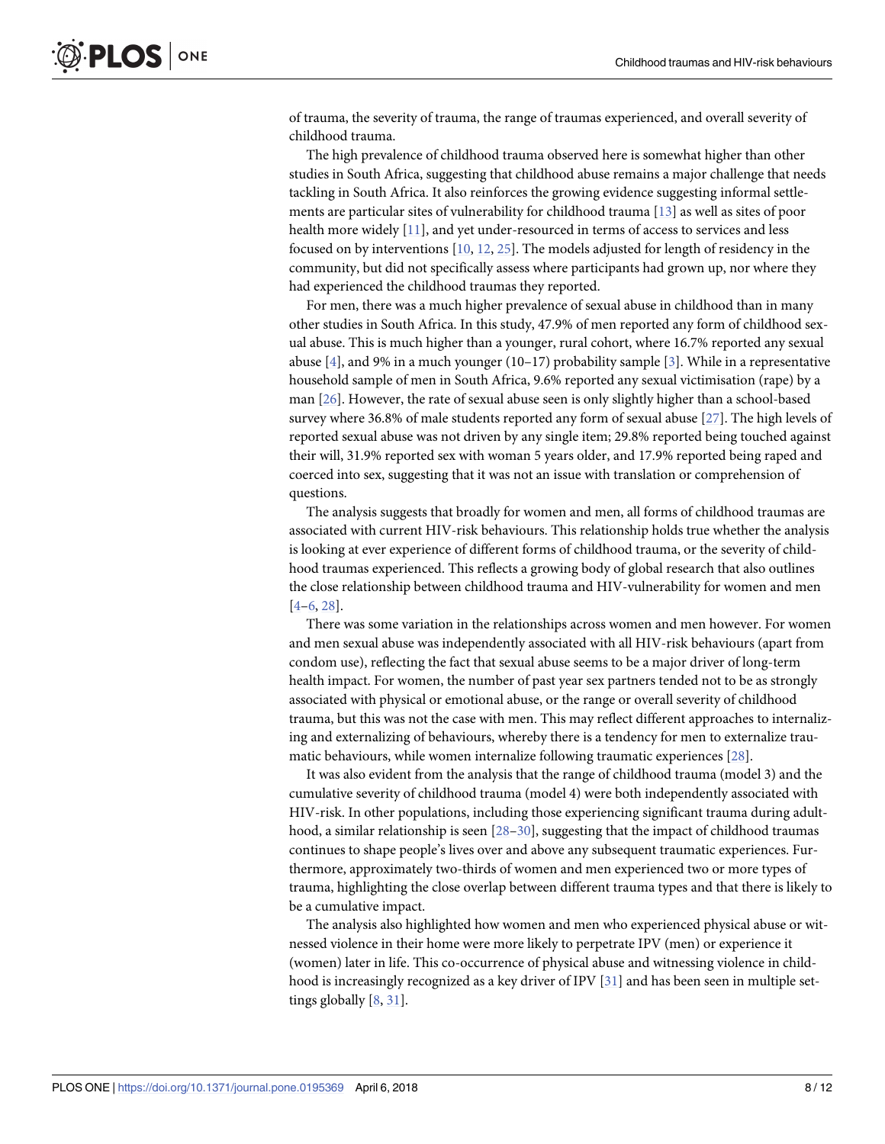<span id="page-7-0"></span>of trauma, the severity of trauma, the range of traumas experienced, and overall severity of childhood trauma.

The high prevalence of childhood trauma observed here is somewhat higher than other studies in South Africa, suggesting that childhood abuse remains a major challenge that needs tackling in South Africa. It also reinforces the growing evidence suggesting informal settlements are particular sites of vulnerability for childhood trauma [[13](#page-10-0)] as well as sites of poor health more widely [[11](#page-10-0)], and yet under-resourced in terms of access to services and less focused on by interventions [\[10,](#page-10-0) [12,](#page-10-0) [25\]](#page-10-0). The models adjusted for length of residency in the community, but did not specifically assess where participants had grown up, nor where they had experienced the childhood traumas they reported.

For men, there was a much higher prevalence of sexual abuse in childhood than in many other studies in South Africa. In this study, 47.9% of men reported any form of childhood sexual abuse. This is much higher than a younger, rural cohort, where 16.7% reported any sexual abuse  $[4]$ , and 9% in a much younger  $(10-17)$  probability sample  $[3]$  $[3]$  $[3]$ . While in a representative household sample of men in South Africa, 9.6% reported any sexual victimisation (rape) by a man [[26](#page-10-0)]. However, the rate of sexual abuse seen is only slightly higher than a school-based survey where 36.8% of male students reported any form of sexual abuse [\[27\]](#page-10-0). The high levels of reported sexual abuse was not driven by any single item; 29.8% reported being touched against their will, 31.9% reported sex with woman 5 years older, and 17.9% reported being raped and coerced into sex, suggesting that it was not an issue with translation or comprehension of questions.

The analysis suggests that broadly for women and men, all forms of childhood traumas are associated with current HIV-risk behaviours. This relationship holds true whether the analysis is looking at ever experience of different forms of childhood trauma, or the severity of childhood traumas experienced. This reflects a growing body of global research that also outlines the close relationship between childhood trauma and HIV-vulnerability for women and men [\[4–6](#page-9-0), [28](#page-10-0)].

There was some variation in the relationships across women and men however. For women and men sexual abuse was independently associated with all HIV-risk behaviours (apart from condom use), reflecting the fact that sexual abuse seems to be a major driver of long-term health impact. For women, the number of past year sex partners tended not to be as strongly associated with physical or emotional abuse, or the range or overall severity of childhood trauma, but this was not the case with men. This may reflect different approaches to internalizing and externalizing of behaviours, whereby there is a tendency for men to externalize traumatic behaviours, while women internalize following traumatic experiences [\[28\]](#page-10-0).

It was also evident from the analysis that the range of childhood trauma (model 3) and the cumulative severity of childhood trauma (model 4) were both independently associated with HIV-risk. In other populations, including those experiencing significant trauma during adulthood, a similar relationship is seen  $[28–30]$  $[28–30]$  $[28–30]$ , suggesting that the impact of childhood traumas continues to shape people's lives over and above any subsequent traumatic experiences. Furthermore, approximately two-thirds of women and men experienced two or more types of trauma, highlighting the close overlap between different trauma types and that there is likely to be a cumulative impact.

The analysis also highlighted how women and men who experienced physical abuse or witnessed violence in their home were more likely to perpetrate IPV (men) or experience it (women) later in life. This co-occurrence of physical abuse and witnessing violence in childhood is increasingly recognized as a key driver of IPV [\[31\]](#page-11-0) and has been seen in multiple set-tings globally [\[8](#page-9-0), [31\]](#page-11-0).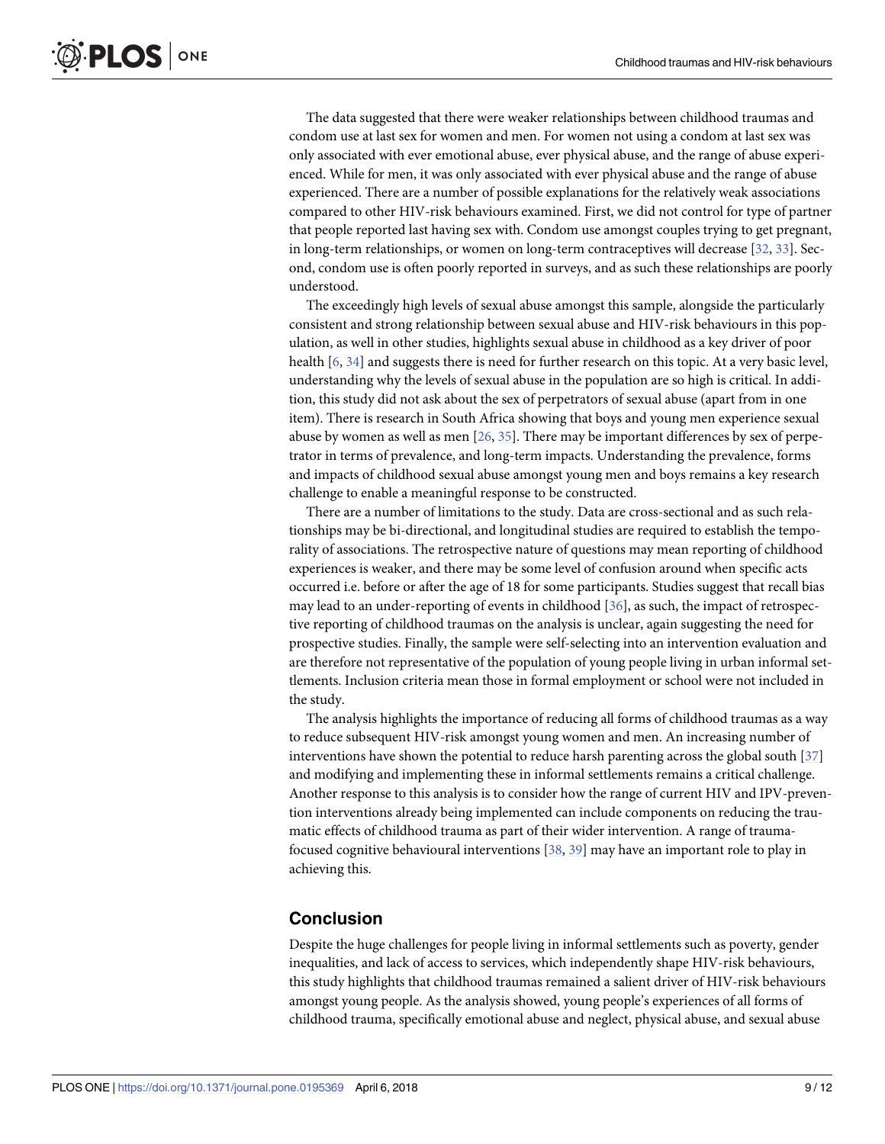<span id="page-8-0"></span>The data suggested that there were weaker relationships between childhood traumas and condom use at last sex for women and men. For women not using a condom at last sex was only associated with ever emotional abuse, ever physical abuse, and the range of abuse experienced. While for men, it was only associated with ever physical abuse and the range of abuse experienced. There are a number of possible explanations for the relatively weak associations compared to other HIV-risk behaviours examined. First, we did not control for type of partner that people reported last having sex with. Condom use amongst couples trying to get pregnant, in long-term relationships, or women on long-term contraceptives will decrease [[32](#page-11-0), [33](#page-11-0)]. Second, condom use is often poorly reported in surveys, and as such these relationships are poorly understood.

The exceedingly high levels of sexual abuse amongst this sample, alongside the particularly consistent and strong relationship between sexual abuse and HIV-risk behaviours in this population, as well in other studies, highlights sexual abuse in childhood as a key driver of poor health [\[6,](#page-9-0) [34\]](#page-11-0) and suggests there is need for further research on this topic. At a very basic level, understanding why the levels of sexual abuse in the population are so high is critical. In addition, this study did not ask about the sex of perpetrators of sexual abuse (apart from in one item). There is research in South Africa showing that boys and young men experience sexual abuse by women as well as men [[26](#page-10-0), [35](#page-11-0)]. There may be important differences by sex of perpetrator in terms of prevalence, and long-term impacts. Understanding the prevalence, forms and impacts of childhood sexual abuse amongst young men and boys remains a key research challenge to enable a meaningful response to be constructed.

There are a number of limitations to the study. Data are cross-sectional and as such relationships may be bi-directional, and longitudinal studies are required to establish the temporality of associations. The retrospective nature of questions may mean reporting of childhood experiences is weaker, and there may be some level of confusion around when specific acts occurred i.e. before or after the age of 18 for some participants. Studies suggest that recall bias may lead to an under-reporting of events in childhood [[36\]](#page-11-0), as such, the impact of retrospective reporting of childhood traumas on the analysis is unclear, again suggesting the need for prospective studies. Finally, the sample were self-selecting into an intervention evaluation and are therefore not representative of the population of young people living in urban informal settlements. Inclusion criteria mean those in formal employment or school were not included in the study.

The analysis highlights the importance of reducing all forms of childhood traumas as a way to reduce subsequent HIV-risk amongst young women and men. An increasing number of interventions have shown the potential to reduce harsh parenting across the global south [\[37\]](#page-11-0) and modifying and implementing these in informal settlements remains a critical challenge. Another response to this analysis is to consider how the range of current HIV and IPV-prevention interventions already being implemented can include components on reducing the traumatic effects of childhood trauma as part of their wider intervention. A range of traumafocused cognitive behavioural interventions [[38,](#page-11-0) [39](#page-11-0)] may have an important role to play in achieving this.

#### **Conclusion**

Despite the huge challenges for people living in informal settlements such as poverty, gender inequalities, and lack of access to services, which independently shape HIV-risk behaviours, this study highlights that childhood traumas remained a salient driver of HIV-risk behaviours amongst young people. As the analysis showed, young people's experiences of all forms of childhood trauma, specifically emotional abuse and neglect, physical abuse, and sexual abuse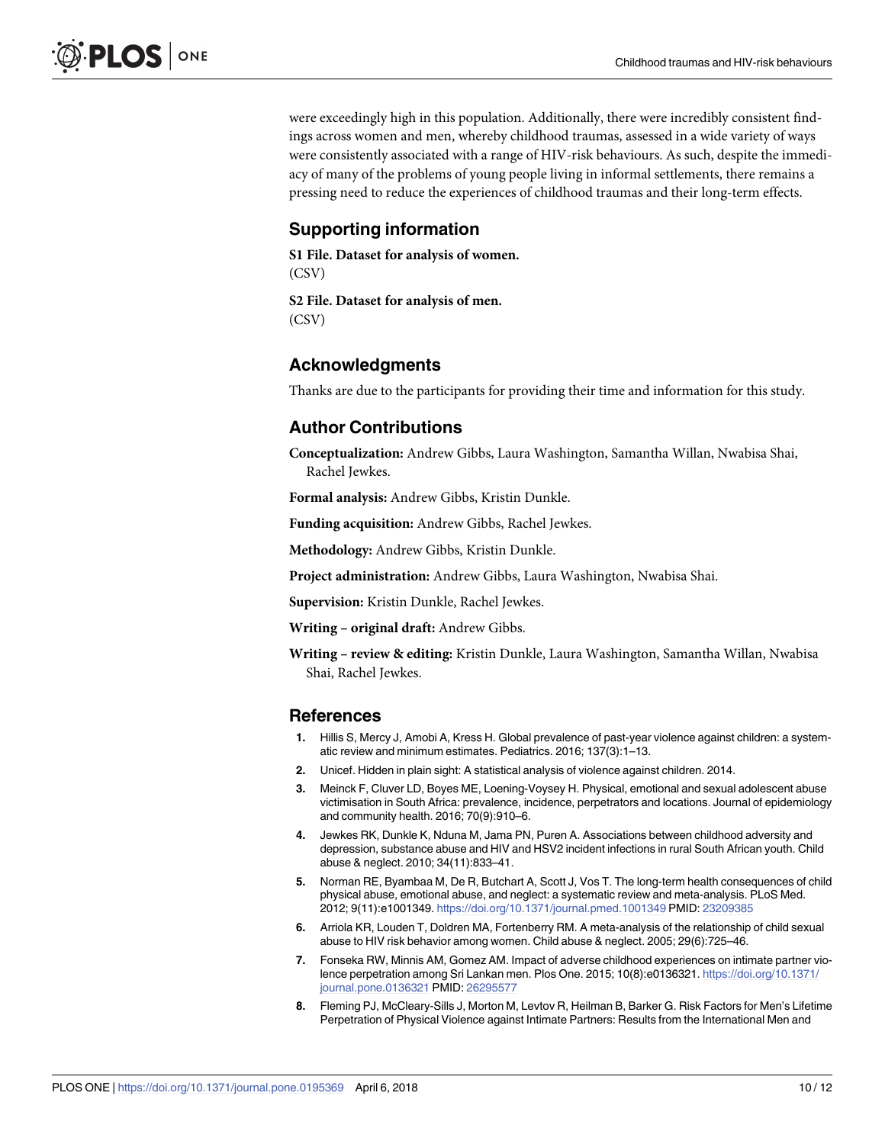<span id="page-9-0"></span>were exceedingly high in this population. Additionally, there were incredibly consistent findings across women and men, whereby childhood traumas, assessed in a wide variety of ways were consistently associated with a range of HIV-risk behaviours. As such, despite the immediacy of many of the problems of young people living in informal settlements, there remains a pressing need to reduce the experiences of childhood traumas and their long-term effects.

# **Supporting information**

**S1 [File.](http://www.plosone.org/article/fetchSingleRepresentation.action?uri=info:doi/10.1371/journal.pone.0195369.s001) Dataset for analysis of women.** (CSV)

**S2 [File.](http://www.plosone.org/article/fetchSingleRepresentation.action?uri=info:doi/10.1371/journal.pone.0195369.s002) Dataset for analysis of men.** (CSV)

## **Acknowledgments**

Thanks are due to the participants for providing their time and information for this study.

## **Author Contributions**

**Conceptualization:** Andrew Gibbs, Laura Washington, Samantha Willan, Nwabisa Shai, Rachel Jewkes.

**Formal analysis:** Andrew Gibbs, Kristin Dunkle.

**Funding acquisition:** Andrew Gibbs, Rachel Jewkes.

**Methodology:** Andrew Gibbs, Kristin Dunkle.

**Project administration:** Andrew Gibbs, Laura Washington, Nwabisa Shai.

**Supervision:** Kristin Dunkle, Rachel Jewkes.

**Writing – original draft:** Andrew Gibbs.

**Writing – review & editing:** Kristin Dunkle, Laura Washington, Samantha Willan, Nwabisa Shai, Rachel Jewkes.

#### **References**

- **[1](#page-0-0).** Hillis S, Mercy J, Amobi A, Kress H. Global prevalence of past-year violence against children: a systematic review and minimum estimates. Pediatrics. 2016; 137(3):1–13.
- **[2](#page-0-0).** Unicef. Hidden in plain sight: A statistical analysis of violence against children. 2014.
- **[3](#page-1-0).** Meinck F, Cluver LD, Boyes ME, Loening-Voysey H. Physical, emotional and sexual adolescent abuse victimisation in South Africa: prevalence, incidence, perpetrators and locations. Journal of epidemiology and community health. 2016; 70(9):910–6.
- **[4](#page-1-0).** Jewkes RK, Dunkle K, Nduna M, Jama PN, Puren A. Associations between childhood adversity and depression, substance abuse and HIV and HSV2 incident infections in rural South African youth. Child abuse & neglect. 2010; 34(11):833–41.
- **[5](#page-1-0).** Norman RE, Byambaa M, De R, Butchart A, Scott J, Vos T. The long-term health consequences of child physical abuse, emotional abuse, and neglect: a systematic review and meta-analysis. PLoS Med. 2012; 9(11):e1001349. <https://doi.org/10.1371/journal.pmed.1001349> PMID: [23209385](http://www.ncbi.nlm.nih.gov/pubmed/23209385)
- **[6](#page-1-0).** Arriola KR, Louden T, Doldren MA, Fortenberry RM. A meta-analysis of the relationship of child sexual abuse to HIV risk behavior among women. Child abuse & neglect. 2005; 29(6):725–46.
- **[7](#page-1-0).** Fonseka RW, Minnis AM, Gomez AM. Impact of adverse childhood experiences on intimate partner violence perpetration among Sri Lankan men. Plos One. 2015; 10(8):e0136321. [https://doi.org/10.1371/](https://doi.org/10.1371/journal.pone.0136321) [journal.pone.0136321](https://doi.org/10.1371/journal.pone.0136321) PMID: [26295577](http://www.ncbi.nlm.nih.gov/pubmed/26295577)
- **[8](#page-1-0).** Fleming PJ, McCleary-Sills J, Morton M, Levtov R, Heilman B, Barker G. Risk Factors for Men's Lifetime Perpetration of Physical Violence against Intimate Partners: Results from the International Men and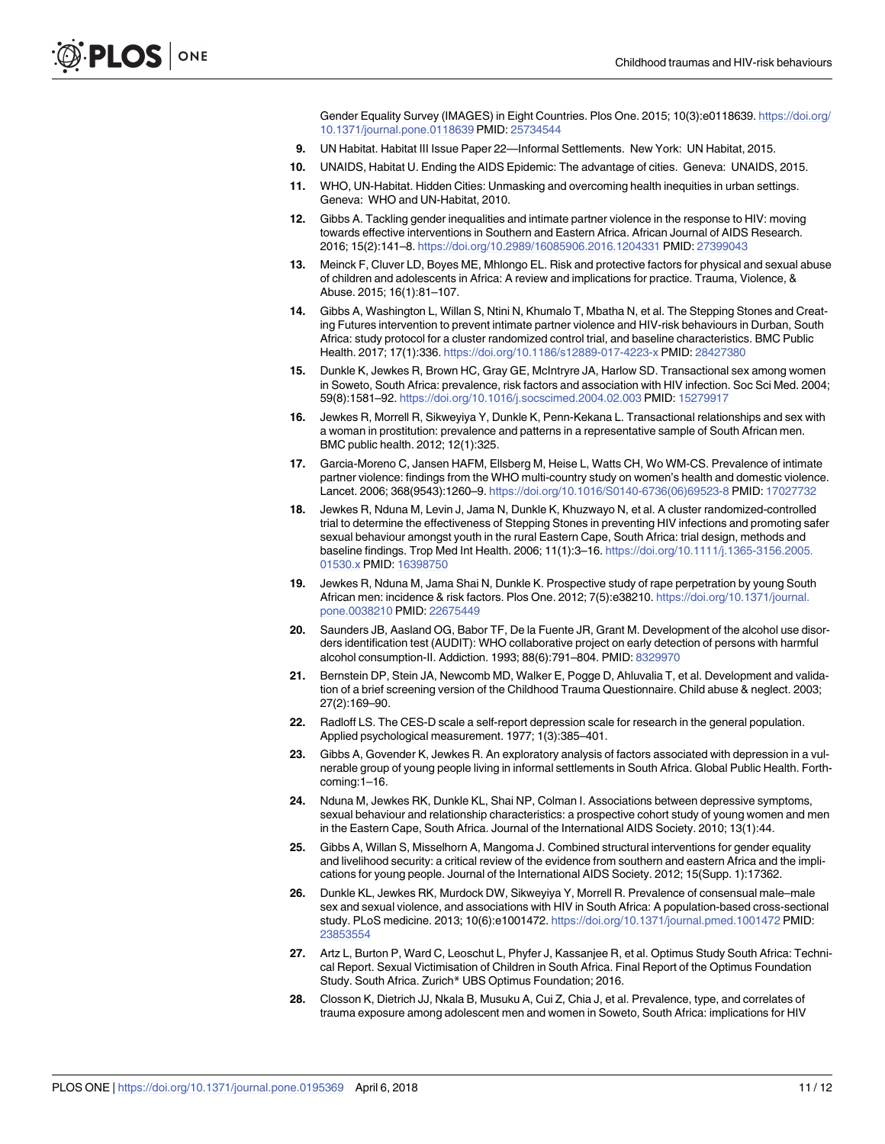Gender Equality Survey (IMAGES) in Eight Countries. Plos One. 2015; 10(3):e0118639. [https://doi.org/](https://doi.org/10.1371/journal.pone.0118639) [10.1371/journal.pone.0118639](https://doi.org/10.1371/journal.pone.0118639) PMID: [25734544](http://www.ncbi.nlm.nih.gov/pubmed/25734544)

- <span id="page-10-0"></span>**[9](#page-1-0).** UN Habitat. Habitat III Issue Paper 22—Informal Settlements. New York: UN Habitat, 2015.
- **[10](#page-1-0).** UNAIDS, Habitat U. Ending the AIDS Epidemic: The advantage of cities. Geneva: UNAIDS, 2015.
- **[11](#page-7-0).** WHO, UN-Habitat. Hidden Cities: Unmasking and overcoming health inequities in urban settings. Geneva: WHO and UN-Habitat, 2010.
- **[12](#page-1-0).** Gibbs A. Tackling gender inequalities and intimate partner violence in the response to HIV: moving towards effective interventions in Southern and Eastern Africa. African Journal of AIDS Research. 2016; 15(2):141–8. <https://doi.org/10.2989/16085906.2016.1204331> PMID: [27399043](http://www.ncbi.nlm.nih.gov/pubmed/27399043)
- **[13](#page-1-0).** Meinck F, Cluver LD, Boyes ME, Mhlongo EL. Risk and protective factors for physical and sexual abuse of children and adolescents in Africa: A review and implications for practice. Trauma, Violence, & Abuse. 2015; 16(1):81–107.
- **[14](#page-1-0).** Gibbs A, Washington L, Willan S, Ntini N, Khumalo T, Mbatha N, et al. The Stepping Stones and Creating Futures intervention to prevent intimate partner violence and HIV-risk behaviours in Durban, South Africa: study protocol for a cluster randomized control trial, and baseline characteristics. BMC Public Health. 2017; 17(1):336. <https://doi.org/10.1186/s12889-017-4223-x> PMID: [28427380](http://www.ncbi.nlm.nih.gov/pubmed/28427380)
- **[15](#page-2-0).** Dunkle K, Jewkes R, Brown HC, Gray GE, McIntryre JA, Harlow SD. Transactional sex among women in Soweto, South Africa: prevalence, risk factors and association with HIV infection. Soc Sci Med. 2004; 59(8):1581–92. <https://doi.org/10.1016/j.socscimed.2004.02.003> PMID: [15279917](http://www.ncbi.nlm.nih.gov/pubmed/15279917)
- **[16](#page-2-0).** Jewkes R, Morrell R, Sikweyiya Y, Dunkle K, Penn-Kekana L. Transactional relationships and sex with a woman in prostitution: prevalence and patterns in a representative sample of South African men. BMC public health. 2012; 12(1):325.
- **[17](#page-2-0).** Garcia-Moreno C, Jansen HAFM, Ellsberg M, Heise L, Watts CH, Wo WM-CS. Prevalence of intimate partner violence: findings from the WHO multi-country study on women's health and domestic violence. Lancet. 2006; 368(9543):1260–9. [https://doi.org/10.1016/S0140-6736\(06\)69523-8](https://doi.org/10.1016/S0140-6736(06)69523-8) PMID: [17027732](http://www.ncbi.nlm.nih.gov/pubmed/17027732)
- **[18](#page-2-0).** Jewkes R, Nduna M, Levin J, Jama N, Dunkle K, Khuzwayo N, et al. A cluster randomized-controlled trial to determine the effectiveness of Stepping Stones in preventing HIV infections and promoting safer sexual behaviour amongst youth in the rural Eastern Cape, South Africa: trial design, methods and baseline findings. Trop Med Int Health. 2006; 11(1):3–16. [https://doi.org/10.1111/j.1365-3156.2005.](https://doi.org/10.1111/j.1365-3156.2005.01530.x) [01530.x](https://doi.org/10.1111/j.1365-3156.2005.01530.x) PMID: [16398750](http://www.ncbi.nlm.nih.gov/pubmed/16398750)
- **[19](#page-2-0).** Jewkes R, Nduna M, Jama Shai N, Dunkle K. Prospective study of rape perpetration by young South African men: incidence & risk factors. Plos One. 2012; 7(5):e38210. [https://doi.org/10.1371/journal.](https://doi.org/10.1371/journal.pone.0038210) [pone.0038210](https://doi.org/10.1371/journal.pone.0038210) PMID: [22675449](http://www.ncbi.nlm.nih.gov/pubmed/22675449)
- **[20](#page-2-0).** Saunders JB, Aasland OG, Babor TF, De la Fuente JR, Grant M. Development of the alcohol use disorders identification test (AUDIT): WHO collaborative project on early detection of persons with harmful alcohol consumption-II. Addiction. 1993; 88(6):791–804. PMID: [8329970](http://www.ncbi.nlm.nih.gov/pubmed/8329970)
- **[21](#page-2-0).** Bernstein DP, Stein JA, Newcomb MD, Walker E, Pogge D, Ahluvalia T, et al. Development and validation of a brief screening version of the Childhood Trauma Questionnaire. Child abuse & neglect. 2003; 27(2):169–90.
- **[22](#page-3-0).** Radloff LS. The CES-D scale a self-report depression scale for research in the general population. Applied psychological measurement. 1977; 1(3):385–401.
- **[23](#page-3-0).** Gibbs A, Govender K, Jewkes R. An exploratory analysis of factors associated with depression in a vulnerable group of young people living in informal settlements in South Africa. Global Public Health. Forthcoming:1–16.
- **[24](#page-3-0).** Nduna M, Jewkes RK, Dunkle KL, Shai NP, Colman I. Associations between depressive symptoms, sexual behaviour and relationship characteristics: a prospective cohort study of young women and men in the Eastern Cape, South Africa. Journal of the International AIDS Society. 2010; 13(1):44.
- **[25](#page-7-0).** Gibbs A, Willan S, Misselhorn A, Mangoma J. Combined structural interventions for gender equality and livelihood security: a critical review of the evidence from southern and eastern Africa and the implications for young people. Journal of the International AIDS Society. 2012; 15(Supp. 1):17362.
- **[26](#page-7-0).** Dunkle KL, Jewkes RK, Murdock DW, Sikweyiya Y, Morrell R. Prevalence of consensual male–male sex and sexual violence, and associations with HIV in South Africa: A population-based cross-sectional study. PLoS medicine. 2013; 10(6):e1001472. <https://doi.org/10.1371/journal.pmed.1001472> PMID: [23853554](http://www.ncbi.nlm.nih.gov/pubmed/23853554)
- **[27](#page-7-0).** Artz L, Burton P, Ward C, Leoschut L, Phyfer J, Kassanjee R, et al. Optimus Study South Africa: Technical Report. Sexual Victimisation of Children in South Africa. Final Report of the Optimus Foundation Study. South Africa. Zurich\* UBS Optimus Foundation; 2016.
- **[28](#page-7-0).** Closson K, Dietrich JJ, Nkala B, Musuku A, Cui Z, Chia J, et al. Prevalence, type, and correlates of trauma exposure among adolescent men and women in Soweto, South Africa: implications for HIV